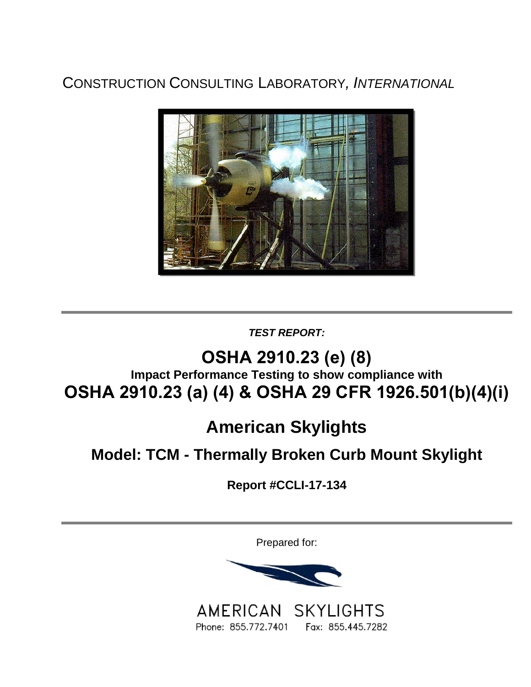CONSTRUCTION CONSULTING LABORATORY*, INTERNATIONAL*



*TEST REPORT:*

# **OSHA 2910.23 (e) (8) Impact Performance Testing to show compliance with OSHA 2910.23 (a) (4) & OSHA 29 CFR 1926.501(b)(4)(i)**

# **American Skylights**

## **Model: TCM - Thermally Broken Curb Mount Skylight**

**Report #CCLI-17-134**

Prepared for:



AMERICAN SKYLIGHTS Phone: 855.772.7401 Fax: 855.445.7282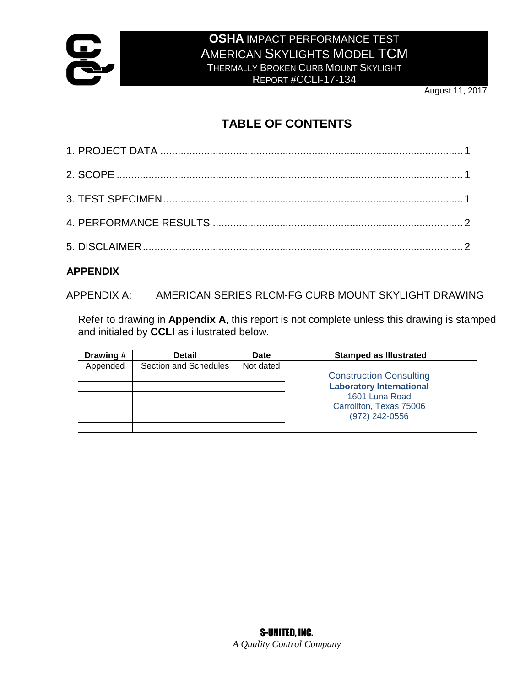

### **OSHA** IMPACT PERFORMANCE TEST AMERICAN SKYLIGHTS MODEL TCM THERMALLY BROKEN CURB MOUNT SKYLIGHT

REPORT #CCLI-17-134

August 11, 2017

## **TABLE OF CONTENTS**

#### **APPENDIX**

APPENDIX A: AMERICAN SERIES RLCM-FG CURB MOUNT SKYLIGHT DRAWING

Refer to drawing in **Appendix A**, this report is not complete unless this drawing is stamped and initialed by **CCLI** as illustrated below.

| Drawing # | <b>Detail</b>         | Date      | <b>Stamped as Illustrated</b>   |
|-----------|-----------------------|-----------|---------------------------------|
| Appended  | Section and Schedules | Not dated |                                 |
|           |                       |           | <b>Construction Consulting</b>  |
|           |                       |           | <b>Laboratory International</b> |
|           |                       |           | 1601 Luna Road                  |
|           |                       |           | Carrollton, Texas 75006         |
|           |                       |           | (972) 242-0556                  |
|           |                       |           |                                 |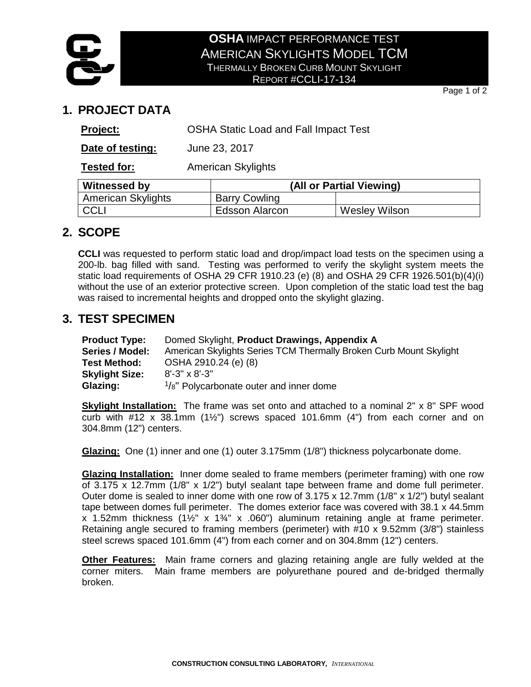

#### **OSHA** IMPACT PERFORMANCE TEST AMERICAN SKYLIGHTS MODEL TCM THERMALLY BROKEN CURB MOUNT SKYLIGHT REPORT #CCLI-17-134

Page 1 of 2

## **1. PROJECT DATA**

| Project:                  | <b>OSHA Static Load and Fall Impact Test</b> |                          |               |  |
|---------------------------|----------------------------------------------|--------------------------|---------------|--|
| Date of testing:          | June 23, 2017                                |                          |               |  |
| Tested for:               | <b>American Skylights</b>                    |                          |               |  |
| <b>Witnessed by</b>       |                                              | (All or Partial Viewing) |               |  |
| <b>American Skylights</b> |                                              | <b>Barry Cowling</b>     |               |  |
| CCLI                      |                                              | <b>Edsson Alarcon</b>    | Wesley Wilson |  |

## **2. SCOPE**

**CCLI** was requested to perform static load and drop/impact load tests on the specimen using a 200-lb. bag filled with sand. Testing was performed to verify the skylight system meets the static load requirements of OSHA 29 CFR 1910.23 (e) (8) and OSHA 29 CFR 1926.501(b)(4)(i) without the use of an exterior protective screen. Upon completion of the static load test the bag was raised to incremental heights and dropped onto the skylight glazing.

### **3. TEST SPECIMEN**

| <b>Product Type:</b>  | Domed Skylight, Product Drawings, Appendix A                       |
|-----------------------|--------------------------------------------------------------------|
| Series / Model:       | American Skylights Series TCM Thermally Broken Curb Mount Skylight |
| Test Method:          | OSHA 2910.24 (e) (8)                                               |
| <b>Skylight Size:</b> | $8' - 3'' \times 8' - 3''$                                         |
| Glazing:              | $\frac{1}{8}$ " Polycarbonate outer and inner dome                 |

**Skylight Installation:** The frame was set onto and attached to a nominal 2" x 8" SPF wood curb with  $#12 \times 38.1$ mm (1½") screws spaced 101.6mm (4") from each corner and on 304.8mm (12") centers.

**Glazing:** One (1) inner and one (1) outer 3.175mm (1/8") thickness polycarbonate dome.

**Glazing Installation:** Inner dome sealed to frame members (perimeter framing) with one row of 3.175 x 12.7mm (1/8" x 1/2") butyl sealant tape between frame and dome full perimeter. Outer dome is sealed to inner dome with one row of 3.175 x 12.7mm (1/8" x 1/2") butyl sealant tape between domes full perimeter. The domes exterior face was covered with 38.1 x 44.5mm x 1.52mm thickness (1½" x 1¾" x .060") aluminum retaining angle at frame perimeter. Retaining angle secured to framing members (perimeter) with #10 x 9.52mm (3/8") stainless steel screws spaced 101.6mm (4") from each corner and on 304.8mm (12") centers.

**Other Features:** Main frame corners and glazing retaining angle are fully welded at the corner miters. Main frame members are polyurethane poured and de-bridged thermally broken.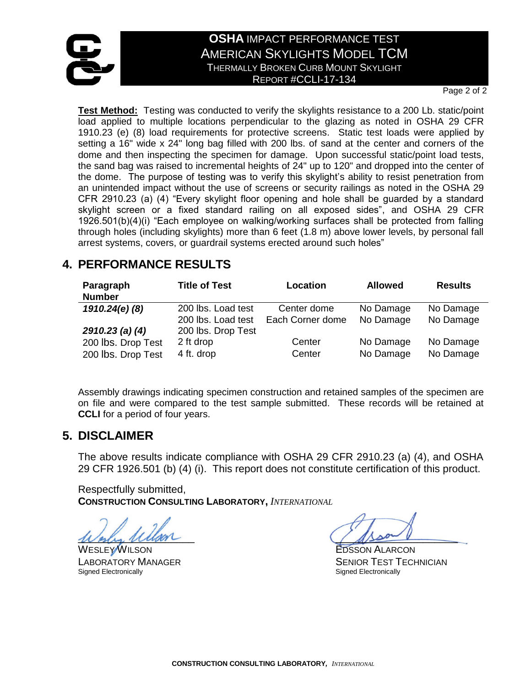

#### **OSHA** IMPACT PERFORMANCE TEST AMERICAN SKYLIGHTS MODEL TCM THERMALLY BROKEN CURB MOUNT SKYLIGHT REPORT #CCLI-17-134

Page 2 of 2

**Test Method:** Testing was conducted to verify the skylights resistance to a 200 Lb. static/point load applied to multiple locations perpendicular to the glazing as noted in OSHA 29 CFR 1910.23 (e) (8) load requirements for protective screens. Static test loads were applied by setting a 16" wide x 24" long bag filled with 200 lbs. of sand at the center and corners of the dome and then inspecting the specimen for damage. Upon successful static/point load tests, the sand bag was raised to incremental heights of 24" up to 120" and dropped into the center of the dome. The purpose of testing was to verify this skylight's ability to resist penetration from an unintended impact without the use of screens or security railings as noted in the OSHA 29 CFR 2910.23 (a) (4) "Every skylight floor opening and hole shall be guarded by a standard skylight screen or a fixed standard railing on all exposed sides", and OSHA 29 CFR 1926.501(b)(4)(i) "Each employee on walking/working surfaces shall be protected from falling through holes (including skylights) more than 6 feet (1.8 m) above lower levels, by personal fall arrest systems, covers, or guardrail systems erected around such holes"

## **4. PERFORMANCE RESULTS**

| Paragraph          | <b>Title of Test</b> | Location         | <b>Allowed</b> | <b>Results</b> |
|--------------------|----------------------|------------------|----------------|----------------|
| <b>Number</b>      |                      |                  |                |                |
| 1910.24(e)(8)      | 200 lbs. Load test   | Center dome      | No Damage      | No Damage      |
|                    | 200 lbs. Load test   | Each Corner dome | No Damage      | No Damage      |
| $2910.23$ (a) (4)  | 200 lbs. Drop Test   |                  |                |                |
| 200 lbs. Drop Test | 2 ft drop            | Center           | No Damage      | No Damage      |
| 200 lbs. Drop Test | 4 ft. drop           | Center           | No Damage      | No Damage      |

Assembly drawings indicating specimen construction and retained samples of the specimen are on file and were compared to the test sample submitted. These records will be retained at **CCLI** for a period of four years.

#### **5. DISCLAIMER**

The above results indicate compliance with OSHA 29 CFR 2910.23 (a) (4), and OSHA 29 CFR 1926.501 (b) (4) (i). This report does not constitute certification of this product.

Respectfully submitted, **CONSTRUCTION CONSULTING LABORATORY,** *INTERNATIONAL*

 $\mu$ erly ullan

WESLEY WILSON EDSSON ALARCON Signed Electronically

LABORATORY MANAGER<br>
Signed Electronically<br>
Signed Electronically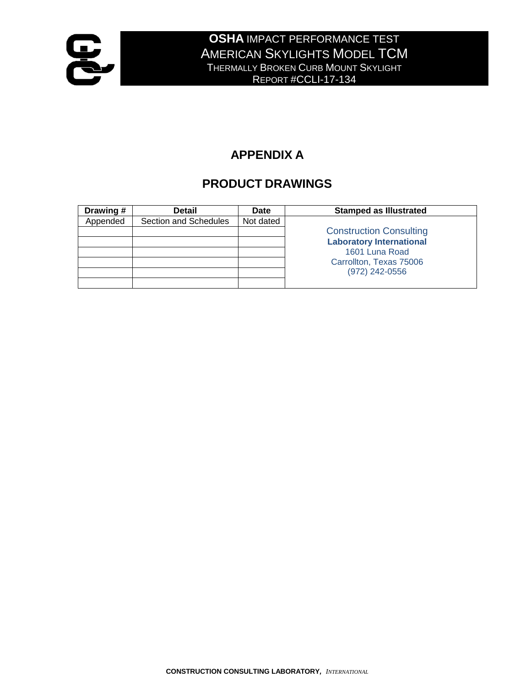

## **APPENDIX A**

## **PRODUCT DRAWINGS**

| Drawing # | <b>Detail</b>         | Date      | <b>Stamped as Illustrated</b>   |
|-----------|-----------------------|-----------|---------------------------------|
| Appended  | Section and Schedules | Not dated |                                 |
|           |                       |           | <b>Construction Consulting</b>  |
|           |                       |           | <b>Laboratory International</b> |
|           |                       |           | 1601 Luna Road                  |
|           |                       |           | Carrollton, Texas 75006         |
|           |                       |           | (972) 242-0556                  |
|           |                       |           |                                 |